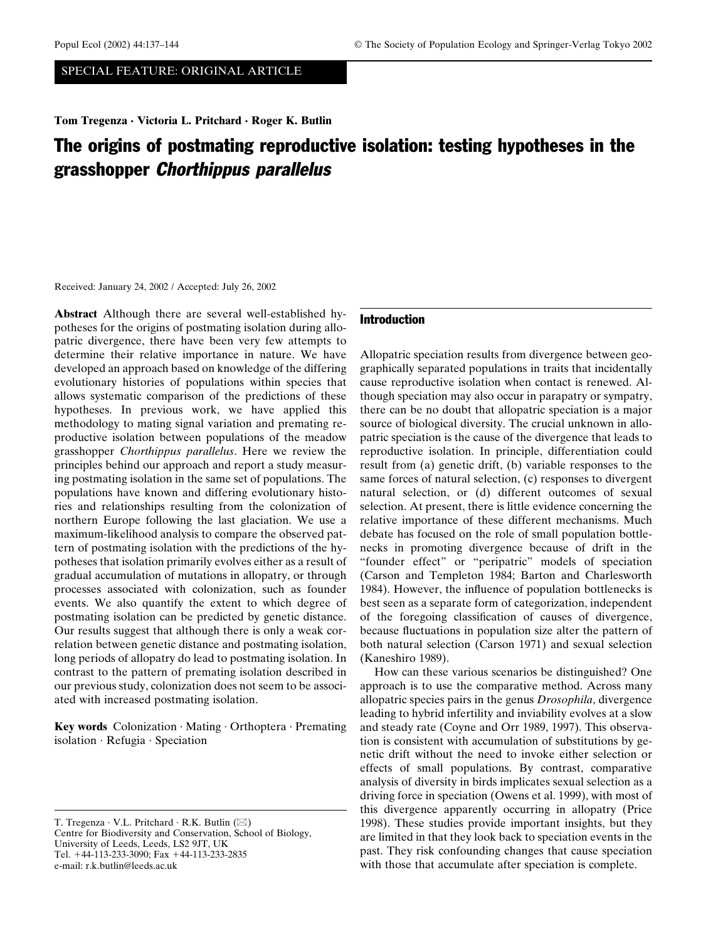## SPECIAL FEATURE: ORIGINAL ARTICLE

**Tom Tregenza · Victoria L. Pritchard · Roger K. Butlin**

# The origins of postmating reproductive isolation: testing hypotheses in the grasshopper Chorthippus parallelus

Received: January 24, 2002 / Accepted: July 26, 2002

**Abstract** Although there are several well-established hypotheses for the origins of postmating isolation during allopatric divergence, there have been very few attempts to determine their relative importance in nature. We have developed an approach based on knowledge of the differing evolutionary histories of populations within species that allows systematic comparison of the predictions of these hypotheses. In previous work, we have applied this methodology to mating signal variation and premating reproductive isolation between populations of the meadow grasshopper *Chorthippus parallelus*. Here we review the principles behind our approach and report a study measuring postmating isolation in the same set of populations. The populations have known and differing evolutionary histories and relationships resulting from the colonization of northern Europe following the last glaciation. We use a maximum-likelihood analysis to compare the observed pattern of postmating isolation with the predictions of the hypotheses that isolation primarily evolves either as a result of gradual accumulation of mutations in allopatry, or through processes associated with colonization, such as founder events. We also quantify the extent to which degree of postmating isolation can be predicted by genetic distance. Our results suggest that although there is only a weak correlation between genetic distance and postmating isolation, long periods of allopatry do lead to postmating isolation. In contrast to the pattern of premating isolation described in our previous study, colonization does not seem to be associated with increased postmating isolation.

**Key words** Colonization · Mating · Orthoptera · Premating isolation · Refugia · Speciation

T. Tregenza  $\cdot$  V.L. Pritchard  $\cdot$  R.K. Butlin ( $\boxtimes$ ) Centre for Biodiversity and Conservation, School of Biology, University of Leeds, Leeds, LS2 9JT, UK Tel. 44-113-233-3090; Fax 44-113-233-2835 e-mail: r.k.butlin@leeds.ac.uk

# Introduction

Allopatric speciation results from divergence between geographically separated populations in traits that incidentally cause reproductive isolation when contact is renewed. Although speciation may also occur in parapatry or sympatry, there can be no doubt that allopatric speciation is a major source of biological diversity. The crucial unknown in allopatric speciation is the cause of the divergence that leads to reproductive isolation. In principle, differentiation could result from (a) genetic drift, (b) variable responses to the same forces of natural selection, (c) responses to divergent natural selection, or (d) different outcomes of sexual selection. At present, there is little evidence concerning the relative importance of these different mechanisms. Much debate has focused on the role of small population bottlenecks in promoting divergence because of drift in the "founder effect" or "peripatric" models of speciation (Carson and Templeton 1984; Barton and Charlesworth 1984). However, the influence of population bottlenecks is best seen as a separate form of categorization, independent of the foregoing classification of causes of divergence, because fluctuations in population size alter the pattern of both natural selection (Carson 1971) and sexual selection (Kaneshiro 1989).

How can these various scenarios be distinguished? One approach is to use the comparative method. Across many allopatric species pairs in the genus *Drosophila*, divergence leading to hybrid infertility and inviability evolves at a slow and steady rate (Coyne and Orr 1989, 1997). This observation is consistent with accumulation of substitutions by genetic drift without the need to invoke either selection or effects of small populations. By contrast, comparative analysis of diversity in birds implicates sexual selection as a driving force in speciation (Owens et al. 1999), with most of this divergence apparently occurring in allopatry (Price 1998). These studies provide important insights, but they are limited in that they look back to speciation events in the past. They risk confounding changes that cause speciation with those that accumulate after speciation is complete.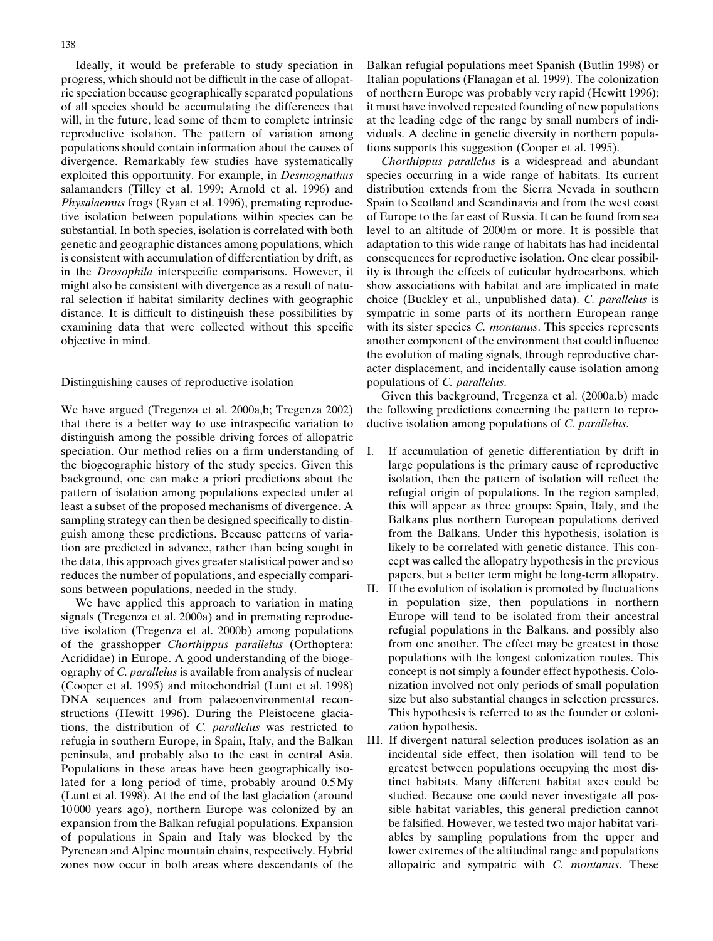Ideally, it would be preferable to study speciation in progress, which should not be difficult in the case of allopatric speciation because geographically separated populations of all species should be accumulating the differences that will, in the future, lead some of them to complete intrinsic reproductive isolation. The pattern of variation among populations should contain information about the causes of divergence. Remarkably few studies have systematically exploited this opportunity. For example, in *Desmognathus* salamanders (Tilley et al. 1999; Arnold et al. 1996) and *Physalaemus* frogs (Ryan et al. 1996), premating reproductive isolation between populations within species can be substantial. In both species, isolation is correlated with both genetic and geographic distances among populations, which is consistent with accumulation of differentiation by drift, as in the *Drosophila* interspecific comparisons. However, it might also be consistent with divergence as a result of natural selection if habitat similarity declines with geographic distance. It is difficult to distinguish these possibilities by examining data that were collected without this specific objective in mind.

## Distinguishing causes of reproductive isolation

We have argued (Tregenza et al. 2000a,b; Tregenza 2002) that there is a better way to use intraspecific variation to distinguish among the possible driving forces of allopatric speciation. Our method relies on a firm understanding of the biogeographic history of the study species. Given this background, one can make a priori predictions about the pattern of isolation among populations expected under at least a subset of the proposed mechanisms of divergence. A sampling strategy can then be designed specifically to distinguish among these predictions. Because patterns of variation are predicted in advance, rather than being sought in the data, this approach gives greater statistical power and so reduces the number of populations, and especially comparisons between populations, needed in the study.

We have applied this approach to variation in mating signals (Tregenza et al. 2000a) and in premating reproductive isolation (Tregenza et al. 2000b) among populations of the grasshopper *Chorthippus parallelus* (Orthoptera: Acrididae) in Europe. A good understanding of the biogeography of *C. parallelus* is available from analysis of nuclear (Cooper et al. 1995) and mitochondrial (Lunt et al. 1998) DNA sequences and from palaeoenvironmental reconstructions (Hewitt 1996). During the Pleistocene glaciations, the distribution of *C. parallelus* was restricted to refugia in southern Europe, in Spain, Italy, and the Balkan peninsula, and probably also to the east in central Asia. Populations in these areas have been geographically isolated for a long period of time, probably around 0.5My (Lunt et al. 1998). At the end of the last glaciation (around 10000 years ago), northern Europe was colonized by an expansion from the Balkan refugial populations. Expansion of populations in Spain and Italy was blocked by the Pyrenean and Alpine mountain chains, respectively. Hybrid zones now occur in both areas where descendants of the Balkan refugial populations meet Spanish (Butlin 1998) or Italian populations (Flanagan et al. 1999). The colonization of northern Europe was probably very rapid (Hewitt 1996); it must have involved repeated founding of new populations at the leading edge of the range by small numbers of individuals. A decline in genetic diversity in northern populations supports this suggestion (Cooper et al. 1995).

*Chorthippus parallelus* is a widespread and abundant species occurring in a wide range of habitats. Its current distribution extends from the Sierra Nevada in southern Spain to Scotland and Scandinavia and from the west coast of Europe to the far east of Russia. It can be found from sea level to an altitude of 2000 m or more. It is possible that adaptation to this wide range of habitats has had incidental consequences for reproductive isolation. One clear possibility is through the effects of cuticular hydrocarbons, which show associations with habitat and are implicated in mate choice (Buckley et al., unpublished data). *C. parallelus* is sympatric in some parts of its northern European range with its sister species *C. montanus*. This species represents another component of the environment that could influence the evolution of mating signals, through reproductive character displacement, and incidentally cause isolation among populations of *C. parallelus*.

Given this background, Tregenza et al. (2000a,b) made the following predictions concerning the pattern to reproductive isolation among populations of *C. parallelus*.

- I. If accumulation of genetic differentiation by drift in large populations is the primary cause of reproductive isolation, then the pattern of isolation will reflect the refugial origin of populations. In the region sampled, this will appear as three groups: Spain, Italy, and the Balkans plus northern European populations derived from the Balkans. Under this hypothesis, isolation is likely to be correlated with genetic distance. This concept was called the allopatry hypothesis in the previous papers, but a better term might be long-term allopatry.
- II. If the evolution of isolation is promoted by fluctuations in population size, then populations in northern Europe will tend to be isolated from their ancestral refugial populations in the Balkans, and possibly also from one another. The effect may be greatest in those populations with the longest colonization routes. This concept is not simply a founder effect hypothesis. Colonization involved not only periods of small population size but also substantial changes in selection pressures. This hypothesis is referred to as the founder or colonization hypothesis.
- III. If divergent natural selection produces isolation as an incidental side effect, then isolation will tend to be greatest between populations occupying the most distinct habitats. Many different habitat axes could be studied. Because one could never investigate all possible habitat variables, this general prediction cannot be falsified. However, we tested two major habitat variables by sampling populations from the upper and lower extremes of the altitudinal range and populations allopatric and sympatric with *C. montanus*. These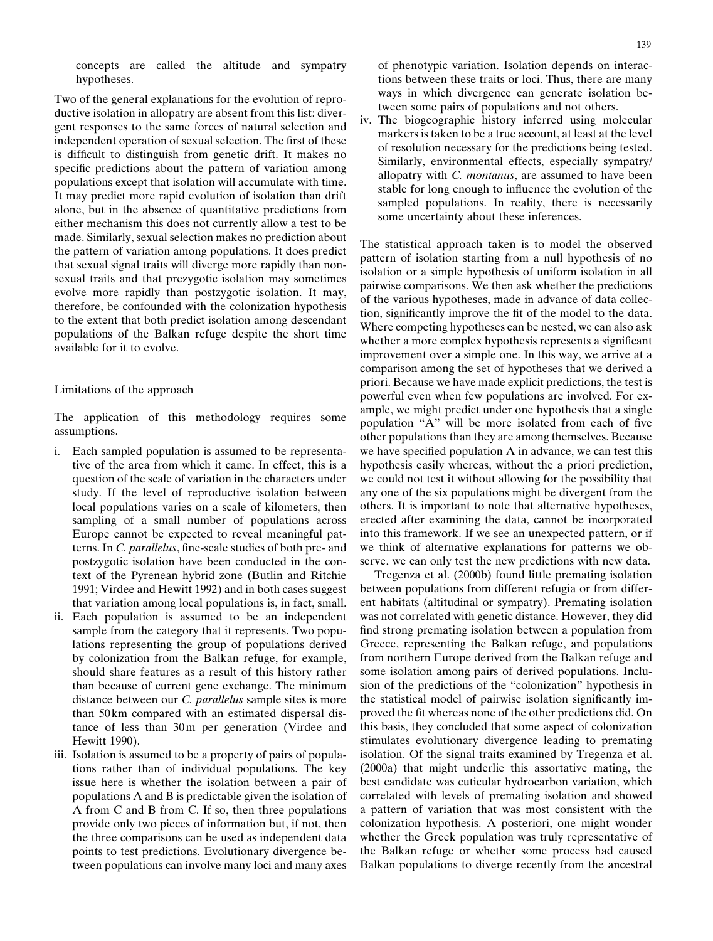concepts are called the altitude and sympatry hypotheses.

Two of the general explanations for the evolution of reproductive isolation in allopatry are absent from this list: divergent responses to the same forces of natural selection and independent operation of sexual selection. The first of these is difficult to distinguish from genetic drift. It makes no specific predictions about the pattern of variation among populations except that isolation will accumulate with time. It may predict more rapid evolution of isolation than drift alone, but in the absence of quantitative predictions from either mechanism this does not currently allow a test to be made. Similarly, sexual selection makes no prediction about the pattern of variation among populations. It does predict that sexual signal traits will diverge more rapidly than nonsexual traits and that prezygotic isolation may sometimes evolve more rapidly than postzygotic isolation. It may, therefore, be confounded with the colonization hypothesis to the extent that both predict isolation among descendant populations of the Balkan refuge despite the short time available for it to evolve.

#### Limitations of the approach

The application of this methodology requires some assumptions.

- i. Each sampled population is assumed to be representative of the area from which it came. In effect, this is a question of the scale of variation in the characters under study. If the level of reproductive isolation between local populations varies on a scale of kilometers, then sampling of a small number of populations across Europe cannot be expected to reveal meaningful patterns. In *C. parallelus*, fine-scale studies of both pre- and postzygotic isolation have been conducted in the context of the Pyrenean hybrid zone (Butlin and Ritchie 1991; Virdee and Hewitt 1992) and in both cases suggest that variation among local populations is, in fact, small.
- ii. Each population is assumed to be an independent sample from the category that it represents. Two populations representing the group of populations derived by colonization from the Balkan refuge, for example, should share features as a result of this history rather than because of current gene exchange. The minimum distance between our *C. parallelus* sample sites is more than 50km compared with an estimated dispersal distance of less than 30m per generation (Virdee and Hewitt 1990).
- iii. Isolation is assumed to be a property of pairs of populations rather than of individual populations. The key issue here is whether the isolation between a pair of populations A and B is predictable given the isolation of A from C and B from C. If so, then three populations provide only two pieces of information but, if not, then the three comparisons can be used as independent data points to test predictions. Evolutionary divergence between populations can involve many loci and many axes

of phenotypic variation. Isolation depends on interactions between these traits or loci. Thus, there are many ways in which divergence can generate isolation between some pairs of populations and not others.

iv. The biogeographic history inferred using molecular markers is taken to be a true account, at least at the level of resolution necessary for the predictions being tested. Similarly, environmental effects, especially sympatry/ allopatry with *C. montanus*, are assumed to have been stable for long enough to influence the evolution of the sampled populations. In reality, there is necessarily some uncertainty about these inferences.

The statistical approach taken is to model the observed pattern of isolation starting from a null hypothesis of no isolation or a simple hypothesis of uniform isolation in all pairwise comparisons. We then ask whether the predictions of the various hypotheses, made in advance of data collection, significantly improve the fit of the model to the data. Where competing hypotheses can be nested, we can also ask whether a more complex hypothesis represents a significant improvement over a simple one. In this way, we arrive at a comparison among the set of hypotheses that we derived a priori. Because we have made explicit predictions, the test is powerful even when few populations are involved. For example, we might predict under one hypothesis that a single population "A" will be more isolated from each of five other populations than they are among themselves. Because we have specified population A in advance, we can test this hypothesis easily whereas, without the a priori prediction, we could not test it without allowing for the possibility that any one of the six populations might be divergent from the others. It is important to note that alternative hypotheses, erected after examining the data, cannot be incorporated into this framework. If we see an unexpected pattern, or if we think of alternative explanations for patterns we observe, we can only test the new predictions with new data.

Tregenza et al. (2000b) found little premating isolation between populations from different refugia or from different habitats (altitudinal or sympatry). Premating isolation was not correlated with genetic distance. However, they did find strong premating isolation between a population from Greece, representing the Balkan refuge, and populations from northern Europe derived from the Balkan refuge and some isolation among pairs of derived populations. Inclusion of the predictions of the "colonization" hypothesis in the statistical model of pairwise isolation significantly improved the fit whereas none of the other predictions did. On this basis, they concluded that some aspect of colonization stimulates evolutionary divergence leading to premating isolation. Of the signal traits examined by Tregenza et al. (2000a) that might underlie this assortative mating, the best candidate was cuticular hydrocarbon variation, which correlated with levels of premating isolation and showed a pattern of variation that was most consistent with the colonization hypothesis. A posteriori, one might wonder whether the Greek population was truly representative of the Balkan refuge or whether some process had caused Balkan populations to diverge recently from the ancestral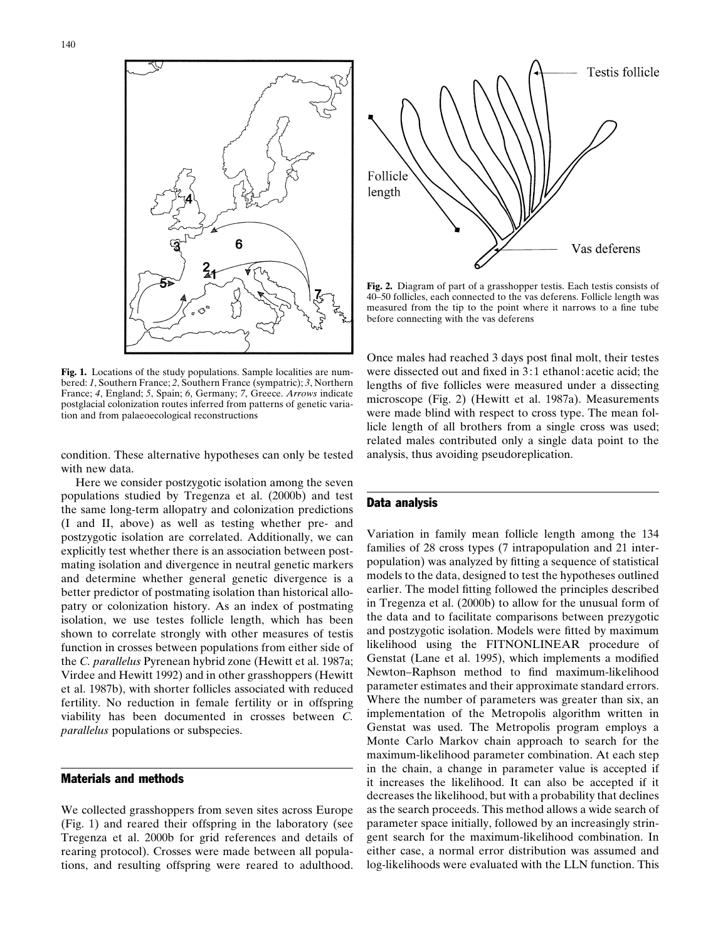

**Fig. 1.** Locations of the study populations. Sample localities are numbered: *1*, Southern France; *2*, Southern France (sympatric); *3*, Northern France; *4*, England; *5*, Spain; *6*, Germany; *7*, Greece. *Arrows* indicate postglacial colonization routes inferred from patterns of genetic variation and from palaeoecological reconstructions

condition. These alternative hypotheses can only be tested with new data.

Here we consider postzygotic isolation among the seven populations studied by Tregenza et al. (2000b) and test the same long-term allopatry and colonization predictions (I and II, above) as well as testing whether pre- and postzygotic isolation are correlated. Additionally, we can explicitly test whether there is an association between postmating isolation and divergence in neutral genetic markers and determine whether general genetic divergence is a better predictor of postmating isolation than historical allopatry or colonization history. As an index of postmating isolation, we use testes follicle length, which has been shown to correlate strongly with other measures of testis function in crosses between populations from either side of the *C. parallelus* Pyrenean hybrid zone (Hewitt et al. 1987a; Virdee and Hewitt 1992) and in other grasshoppers (Hewitt et al. 1987b), with shorter follicles associated with reduced fertility. No reduction in female fertility or in offspring viability has been documented in crosses between *C. parallelus* populations or subspecies.

# Materials and methods

We collected grasshoppers from seven sites across Europe (Fig. 1) and reared their offspring in the laboratory (see Tregenza et al. 2000b for grid references and details of rearing protocol). Crosses were made between all populations, and resulting offspring were reared to adulthood.



**Fig. 2.** Diagram of part of a grasshopper testis. Each testis consists of 40–50 follicles, each connected to the vas deferens. Follicle length was measured from the tip to the point where it narrows to a fine tube before connecting with the vas deferens

Once males had reached 3 days post final molt, their testes were dissected out and fixed in 3 :1 ethanol:acetic acid; the lengths of five follicles were measured under a dissecting microscope (Fig. 2) (Hewitt et al. 1987a). Measurements were made blind with respect to cross type. The mean follicle length of all brothers from a single cross was used; related males contributed only a single data point to the analysis, thus avoiding pseudoreplication.

## Data analysis

Variation in family mean follicle length among the 134 families of 28 cross types (7 intrapopulation and 21 interpopulation) was analyzed by fitting a sequence of statistical models to the data, designed to test the hypotheses outlined earlier. The model fitting followed the principles described in Tregenza et al. (2000b) to allow for the unusual form of the data and to facilitate comparisons between prezygotic and postzygotic isolation. Models were fitted by maximum likelihood using the FITNONLINEAR procedure of Genstat (Lane et al. 1995), which implements a modified Newton–Raphson method to find maximum-likelihood parameter estimates and their approximate standard errors. Where the number of parameters was greater than six, an implementation of the Metropolis algorithm written in Genstat was used. The Metropolis program employs a Monte Carlo Markov chain approach to search for the maximum-likelihood parameter combination. At each step in the chain, a change in parameter value is accepted if it increases the likelihood. It can also be accepted if it decreases the likelihood, but with a probability that declines as the search proceeds. This method allows a wide search of parameter space initially, followed by an increasingly stringent search for the maximum-likelihood combination. In either case, a normal error distribution was assumed and log-likelihoods were evaluated with the LLN function. This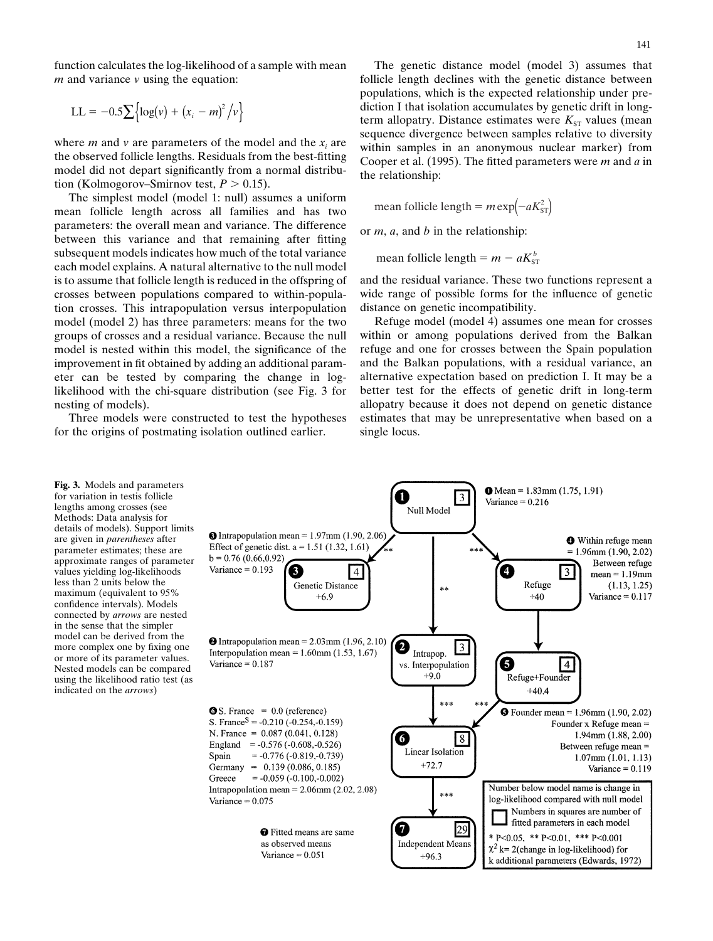function calculates the log-likelihood of a sample with mean *m* and variance *v* using the equation:

$$
LL = -0.5 \sum {\log(v) + (x_i - m)^2 / v}
$$

where  $m$  and  $v$  are parameters of the model and the  $x_i$  are the observed follicle lengths. Residuals from the best-fitting model did not depart significantly from a normal distribution (Kolmogorov–Smirnov test,  $P > 0.15$ ).

The simplest model (model 1: null) assumes a uniform mean follicle length across all families and has two parameters: the overall mean and variance. The difference between this variance and that remaining after fitting subsequent models indicates how much of the total variance each model explains. A natural alternative to the null model is to assume that follicle length is reduced in the offspring of crosses between populations compared to within-population crosses. This intrapopulation versus interpopulation model (model 2) has three parameters: means for the two groups of crosses and a residual variance. Because the null model is nested within this model, the significance of the improvement in fit obtained by adding an additional parameter can be tested by comparing the change in loglikelihood with the chi-square distribution (see Fig. 3 for nesting of models).

Three models were constructed to test the hypotheses for the origins of postmating isolation outlined earlier.

indicated on the *arrows*)

The genetic distance model (model 3) assumes that follicle length declines with the genetic distance between populations, which is the expected relationship under prediction I that isolation accumulates by genetic drift in longterm allopatry. Distance estimates were  $K_{ST}$  values (mean sequence divergence between samples relative to diversity within samples in an anonymous nuclear marker) from Cooper et al. (1995). The fitted parameters were *m* and *a* in the relationship:

mean follicle length =  $m \exp(-a K_{\rm ST}^2)$ 

or *m*, *a*, and *b* in the relationship:

mean follicle length =  $m - aK_{ST}^b$ 

and the residual variance. These two functions represent a wide range of possible forms for the influence of genetic distance on genetic incompatibility.

Refuge model (model 4) assumes one mean for crosses within or among populations derived from the Balkan refuge and one for crosses between the Spain population and the Balkan populations, with a residual variance, an alternative expectation based on prediction I. It may be a better test for the effects of genetic drift in long-term allopatry because it does not depend on genetic distance estimates that may be unrepresentative when based on a single locus.

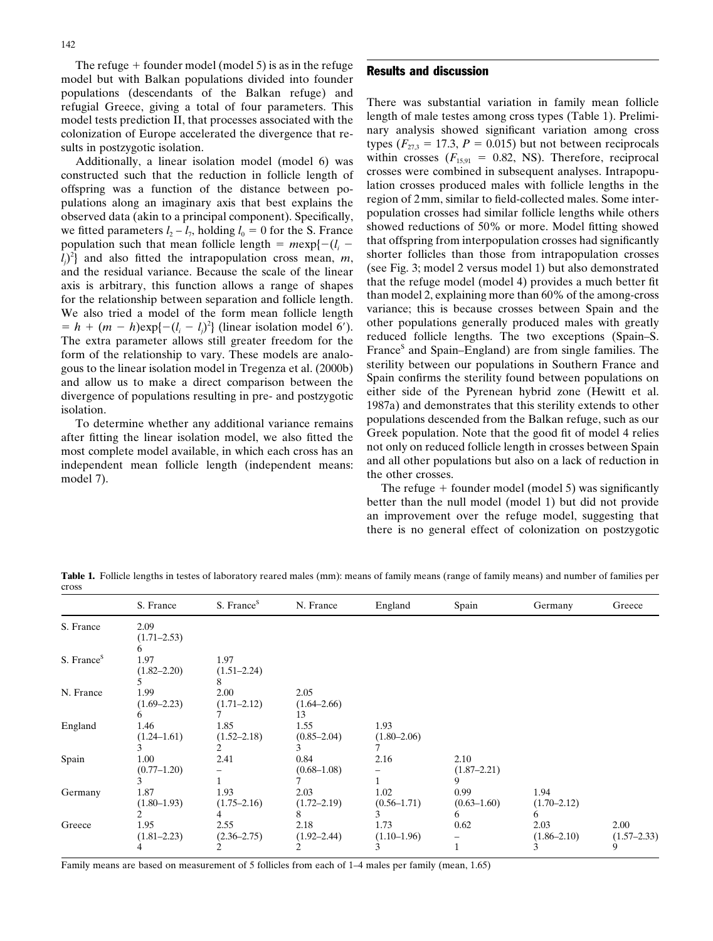The refuge  $+$  founder model (model 5) is as in the refuge model but with Balkan populations divided into founder populations (descendants of the Balkan refuge) and refugial Greece, giving a total of four parameters. This model tests prediction II, that processes associated with the colonization of Europe accelerated the divergence that results in postzygotic isolation.

Additionally, a linear isolation model (model 6) was constructed such that the reduction in follicle length of offspring was a function of the distance between populations along an imaginary axis that best explains the observed data (akin to a principal component). Specifically, we fitted parameters  $l_2 - l_7$ , holding  $l_0 = 0$  for the S. France population such that mean follicle length  $=$   $mexp{-({l_i - p_i})}$  $(l_j)^2$  and also fitted the intrapopulation cross mean, *m*, and the residual variance. Because the scale of the linear axis is arbitrary, this function allows a range of shapes for the relationship between separation and follicle length. We also tried a model of the form mean follicle length  $= h + (m - h) \exp\{- (l_i - l_j)^2\}$  (linear isolation model 6'). The extra parameter allows still greater freedom for the form of the relationship to vary. These models are analogous to the linear isolation model in Tregenza et al. (2000b) and allow us to make a direct comparison between the divergence of populations resulting in pre- and postzygotic isolation.

To determine whether any additional variance remains after fitting the linear isolation model, we also fitted the most complete model available, in which each cross has an independent mean follicle length (independent means: model 7).

## Results and discussion

There was substantial variation in family mean follicle length of male testes among cross types (Table 1). Preliminary analysis showed significant variation among cross types ( $F_{27,3} = 17.3$ ,  $P = 0.015$ ) but not between reciprocals within crosses  $(F_{15,91} = 0.82, \text{ NS})$ . Therefore, reciprocal crosses were combined in subsequent analyses. Intrapopulation crosses produced males with follicle lengths in the region of 2mm, similar to field-collected males. Some interpopulation crosses had similar follicle lengths while others showed reductions of 50% or more. Model fitting showed that offspring from interpopulation crosses had significantly shorter follicles than those from intrapopulation crosses (see Fig. 3; model 2 versus model 1) but also demonstrated that the refuge model (model 4) provides a much better fit than model 2, explaining more than 60% of the among-cross variance; this is because crosses between Spain and the other populations generally produced males with greatly reduced follicle lengths. The two exceptions (Spain–S. France<sup>S</sup> and Spain–England) are from single families. The sterility between our populations in Southern France and Spain confirms the sterility found between populations on either side of the Pyrenean hybrid zone (Hewitt et al. 1987a) and demonstrates that this sterility extends to other populations descended from the Balkan refuge, such as our Greek population. Note that the good fit of model 4 relies not only on reduced follicle length in crosses between Spain and all other populations but also on a lack of reduction in the other crosses.

The refuge  $+$  founder model (model 5) was significantly better than the null model (model 1) but did not provide an improvement over the refuge model, suggesting that there is no general effect of colonization on postzygotic

|                        | S. France               | S. France <sup>s</sup>  | N. France                     | England                 | Spain                        | Germany                       | Greece                       |
|------------------------|-------------------------|-------------------------|-------------------------------|-------------------------|------------------------------|-------------------------------|------------------------------|
| S. France              | 2.09<br>$(1.71 - 2.53)$ |                         |                               |                         |                              |                               |                              |
| S. France <sup>s</sup> | 1.97<br>$(1.82 - 2.20)$ | 1.97<br>$(1.51 - 2.24)$ |                               |                         |                              |                               |                              |
| N. France              | 1.99<br>$(1.69 - 2.23)$ | 2.00<br>$(1.71 - 2.12)$ | 2.05<br>$(1.64 - 2.66)$<br>13 |                         |                              |                               |                              |
| England                | 1.46<br>$(1.24 - 1.61)$ | 1.85<br>$(1.52 - 2.18)$ | 1.55<br>$(0.85 - 2.04)$       | 1.93<br>$(1.80 - 2.06)$ |                              |                               |                              |
| Spain                  | 1.00<br>$(0.77 - 1.20)$ | 2.41                    | 0.84<br>$(0.68 - 1.08)$       | 2.16                    | 2.10<br>$(1.87 - 2.21)$      |                               |                              |
| Germany                | 1.87<br>$(1.80 - 1.93)$ | 1.93<br>$(1.75 - 2.16)$ | 2.03<br>$(1.72 - 2.19)$       | 1.02<br>$(0.56 - 1.71)$ | 0.99<br>$(0.63 - 1.60)$<br>h | 1.94<br>$(1.70 - 2.12)$<br>n. |                              |
| Greece                 | 1.95<br>$(1.81 - 2.23)$ | 2.55<br>$(2.36 - 2.75)$ | 2.18<br>$(1.92 - 2.44)$       | 1.73<br>$(1.10-1.96)$   | 0.62                         | 2.03<br>$(1.86 - 2.10)$       | 2.00<br>$(1.57 - 2.33)$<br>9 |

Table 1. Follicle lengths in testes of laboratory reared males (mm): means of family means (range of family means) and number of families per cross

Family means are based on measurement of 5 follicles from each of 1-4 males per family (mean, 1.65)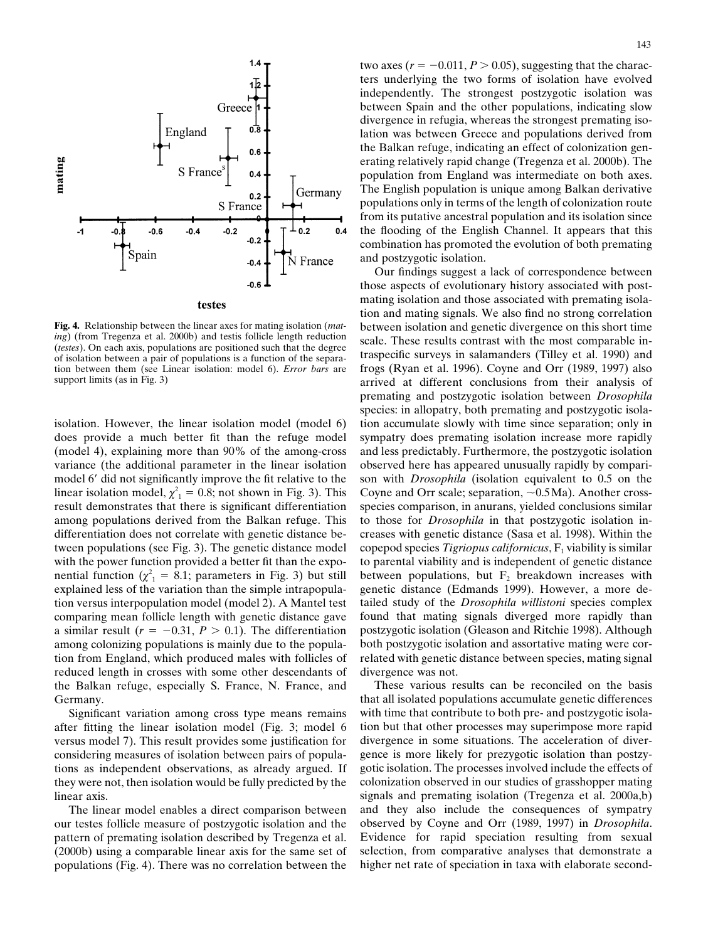

**Fig. 4.** Relationship between the linear axes for mating isolation (*mating*) (from Tregenza et al. 2000b) and testis follicle length reduction (*testes*). On each axis, populations are positioned such that the degree of isolation between a pair of populations is a function of the separation between them (see Linear isolation: model 6). *Error bars* are support limits (as in Fig. 3)

isolation. However, the linear isolation model (model 6) does provide a much better fit than the refuge model (model 4), explaining more than 90% of the among-cross variance (the additional parameter in the linear isolation model 6' did not significantly improve the fit relative to the linear isolation model,  $\chi^2_{1} = 0.8$ ; not shown in Fig. 3). This result demonstrates that there is significant differentiation among populations derived from the Balkan refuge. This differentiation does not correlate with genetic distance between populations (see Fig. 3). The genetic distance model with the power function provided a better fit than the exponential function ( $\chi^2$ <sub>1</sub> = 8.1; parameters in Fig. 3) but still explained less of the variation than the simple intrapopulation versus interpopulation model (model 2). A Mantel test comparing mean follicle length with genetic distance gave a similar result  $(r = -0.31, P > 0.1)$ . The differentiation among colonizing populations is mainly due to the population from England, which produced males with follicles of reduced length in crosses with some other descendants of the Balkan refuge, especially S. France, N. France, and Germany.

Significant variation among cross type means remains after fitting the linear isolation model (Fig. 3; model 6 versus model 7). This result provides some justification for considering measures of isolation between pairs of populations as independent observations, as already argued. If they were not, then isolation would be fully predicted by the linear axis.

The linear model enables a direct comparison between our testes follicle measure of postzygotic isolation and the pattern of premating isolation described by Tregenza et al. (2000b) using a comparable linear axis for the same set of populations (Fig. 4). There was no correlation between the

two axes  $(r = -0.011, P > 0.05)$ , suggesting that the characters underlying the two forms of isolation have evolved independently. The strongest postzygotic isolation was between Spain and the other populations, indicating slow divergence in refugia, whereas the strongest premating isolation was between Greece and populations derived from the Balkan refuge, indicating an effect of colonization generating relatively rapid change (Tregenza et al. 2000b). The population from England was intermediate on both axes. The English population is unique among Balkan derivative populations only in terms of the length of colonization route from its putative ancestral population and its isolation since the flooding of the English Channel. It appears that this combination has promoted the evolution of both premating and postzygotic isolation.

Our findings suggest a lack of correspondence between those aspects of evolutionary history associated with postmating isolation and those associated with premating isolation and mating signals. We also find no strong correlation between isolation and genetic divergence on this short time scale. These results contrast with the most comparable intraspecific surveys in salamanders (Tilley et al. 1990) and frogs (Ryan et al. 1996). Coyne and Orr (1989, 1997) also arrived at different conclusions from their analysis of premating and postzygotic isolation between *Drosophila* species: in allopatry, both premating and postzygotic isolation accumulate slowly with time since separation; only in sympatry does premating isolation increase more rapidly and less predictably. Furthermore, the postzygotic isolation observed here has appeared unusually rapidly by comparison with *Drosophila* (isolation equivalent to 0.5 on the Coyne and Orr scale; separation,  $\sim 0.5$  Ma). Another crossspecies comparison, in anurans, yielded conclusions similar to those for *Drosophila* in that postzygotic isolation increases with genetic distance (Sasa et al. 1998). Within the copepod species *Tigriopus californicus*, F<sub>1</sub> viability is similar to parental viability and is independent of genetic distance between populations, but  $F_2$  breakdown increases with genetic distance (Edmands 1999). However, a more detailed study of the *Drosophila willistoni* species complex found that mating signals diverged more rapidly than postzygotic isolation (Gleason and Ritchie 1998). Although both postzygotic isolation and assortative mating were correlated with genetic distance between species, mating signal divergence was not.

These various results can be reconciled on the basis that all isolated populations accumulate genetic differences with time that contribute to both pre- and postzygotic isolation but that other processes may superimpose more rapid divergence in some situations. The acceleration of divergence is more likely for prezygotic isolation than postzygotic isolation. The processes involved include the effects of colonization observed in our studies of grasshopper mating signals and premating isolation (Tregenza et al. 2000a,b) and they also include the consequences of sympatry observed by Coyne and Orr (1989, 1997) in *Drosophila*. Evidence for rapid speciation resulting from sexual selection, from comparative analyses that demonstrate a higher net rate of speciation in taxa with elaborate second-